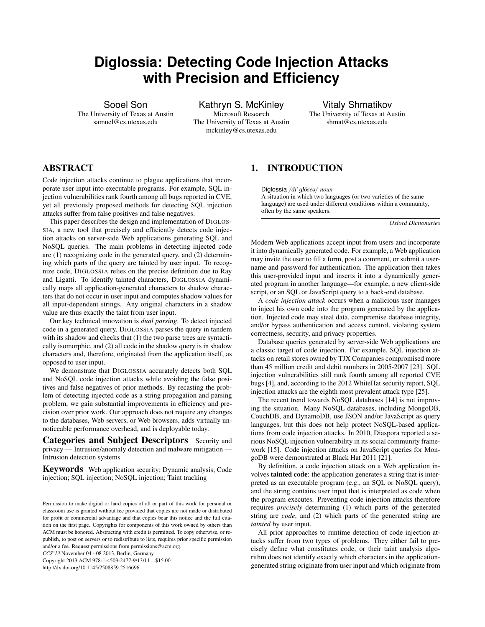# **Diglossia: Detecting Code Injection Attacks with Precision and Efficiency**

Sooel Son The University of Texas at Austin samuel@cs.utexas.edu

Kathryn S. McKinley Microsoft Research The University of Texas at Austin mckinley@cs.utexas.edu

Vitaly Shmatikov The University of Texas at Austin shmat@cs.utexas.edu

## ABSTRACT

Code injection attacks continue to plague applications that incorporate user input into executable programs. For example, SQL injection vulnerabilities rank fourth among all bugs reported in CVE, yet all previously proposed methods for detecting SQL injection attacks suffer from false positives and false negatives.

This paper describes the design and implementation of DIGLOS-SIA, a new tool that precisely and efficiently detects code injection attacks on server-side Web applications generating SQL and NoSQL queries. The main problems in detecting injected code are (1) recognizing code in the generated query, and (2) determining which parts of the query are tainted by user input. To recognize code, DIGLOSSIA relies on the precise definition due to Ray and Ligatti. To identify tainted characters, DIGLOSSIA dynamically maps all application-generated characters to shadow characters that do not occur in user input and computes shadow values for all input-dependent strings. Any original characters in a shadow value are thus exactly the taint from user input.

Our key technical innovation is *dual parsing*. To detect injected code in a generated query, DIGLOSSIA parses the query in tandem with its shadow and checks that (1) the two parse trees are syntactically isomorphic, and (2) all code in the shadow query is in shadow characters and, therefore, originated from the application itself, as opposed to user input.

We demonstrate that DIGLOSSIA accurately detects both SQL and NoSQL code injection attacks while avoiding the false positives and false negatives of prior methods. By recasting the problem of detecting injected code as a string propagation and parsing problem, we gain substantial improvements in efficiency and precision over prior work. Our approach does not require any changes to the databases, Web servers, or Web browsers, adds virtually unnoticeable performance overhead, and is deployable today.

Categories and Subject Descriptors Security and privacy — Intrusion/anomaly detection and malware mitigation — Intrusion detection systems

**Keywords** Web application security; Dynamic analysis; Code injection; SQL injection; NoSQL injection; Taint tracking

*CCS'13* November 04 - 08 2013, Berlin, Germany

Copyright 2013 ACM 978-1-4503-2477-9/13/11 ...\$15.00. http://dx.doi.org/10.1145/2508859.2516696.

# 1. INTRODUCTION

Diglossia /dī' glôsē>/ noun A situation in which two languages (or two varieties of the same language) are used under different conditions within a community, often by the same speakers.

*Oxford Dictionaries*

Modern Web applications accept input from users and incorporate it into dynamically generated code. For example, a Web application may invite the user to fill a form, post a comment, or submit a username and password for authentication. The application then takes this user-provided input and inserts it into a dynamically generated program in another language—for example, a new client-side script, or an SQL or JavaScript query to a back-end database.

A *code injection attack* occurs when a malicious user manages to inject his own code into the program generated by the application. Injected code may steal data, compromise database integrity, and/or bypass authentication and access control, violating system correctness, security, and privacy properties.

Database queries generated by server-side Web applications are a classic target of code injection. For example, SQL injection attacks on retail stores owned by TJX Companies compromised more than 45 million credit and debit numbers in 2005-2007 [23]. SQL injection vulnerabilities still rank fourth among all reported CVE bugs [4], and, according to the 2012 WhiteHat security report, SQL injection attacks are the eighth most prevalent attack type [25].

The recent trend towards NoSQL databases [14] is not improving the situation. Many NoSQL databases, including MongoDB, CouchDB, and DynamoDB, use JSON and/or JavaScript as query languages, but this does not help protect NoSQL-based applications from code injection attacks. In 2010, Diaspora reported a serious NoSQL injection vulnerability in its social community framework [15]. Code injection attacks on JavaScript queries for MongoDB were demonstrated at Black Hat 2011 [21].

By definition, a code injection attack on a Web application involves tainted code: the application generates a string that is interpreted as an executable program (e.g., an SQL or NoSQL query), and the string contains user input that is interpreted as code when the program executes. Preventing code injection attacks therefore requires *precisely* determining (1) which parts of the generated string are *code*, and (2) which parts of the generated string are *tainted* by user input.

All prior approaches to runtime detection of code injection attacks suffer from two types of problems. They either fail to precisely define what constitutes code, or their taint analysis algorithm does not identify exactly which characters in the applicationgenerated string originate from user input and which originate from

Permission to make digital or hard copies of all or part of this work for personal or classroom use is granted without fee provided that copies are not made or distributed for profit or commercial advantage and that copies bear this notice and the full citation on the first page. Copyrights for components of this work owned by others than ACM must be honored. Abstracting with credit is permitted. To copy otherwise, or republish, to post on servers or to redistribute to lists, requires prior specific permission and/or a fee. Request permissions from permissions@acm.org.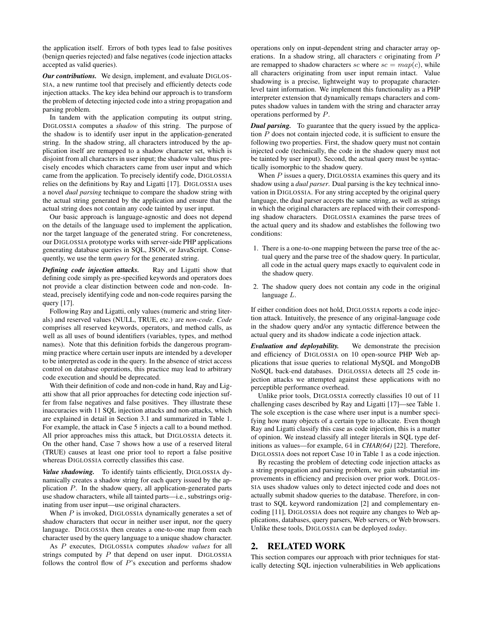the application itself. Errors of both types lead to false positives (benign queries rejected) and false negatives (code injection attacks accepted as valid queries).

*Our contributions.* We design, implement, and evaluate DIGLOS-SIA, a new runtime tool that precisely and efficiently detects code injection attacks. The key idea behind our approach is to transform the problem of detecting injected code into a string propagation and parsing problem.

In tandem with the application computing its output string, DIGLOSSIA computes a *shadow* of this string. The purpose of the shadow is to identify user input in the application-generated string. In the shadow string, all characters introduced by the application itself are remapped to a shadow character set, which is disjoint from all characters in user input; the shadow value thus precisely encodes which characters came from user input and which came from the application. To precisely identify code, DIGLOSSIA relies on the definitions by Ray and Ligatti [17]. DIGLOSSIA uses a novel *dual parsing* technique to compare the shadow string with the actual string generated by the application and ensure that the actual string does not contain any code tainted by user input.

Our basic approach is language-agnostic and does not depend on the details of the language used to implement the application, nor the target language of the generated string. For concreteness, our DIGLOSSIA prototype works with server-side PHP applications generating database queries in SQL, JSON, or JavaScript. Consequently, we use the term *query* for the generated string.

*Defining code injection attacks.* Ray and Ligatti show that defining code simply as pre-specified keywords and operators does not provide a clear distinction between code and non-code. Instead, precisely identifying code and non-code requires parsing the query [17].

Following Ray and Ligatti, only values (numeric and string literals) and reserved values (NULL, TRUE, etc.) are *non-code*. *Code* comprises all reserved keywords, operators, and method calls, as well as all uses of bound identifiers (variables, types, and method names). Note that this definition forbids the dangerous programming practice where certain user inputs are intended by a developer to be interpreted as code in the query. In the absence of strict access control on database operations, this practice may lead to arbitrary code execution and should be deprecated.

With their definition of code and non-code in hand, Ray and Ligatti show that all prior approaches for detecting code injection suffer from false negatives and false positives. They illustrate these inaccuracies with 11 SQL injection attacks and non-attacks, which are explained in detail in Section 3.1 and summarized in Table 1. For example, the attack in Case 5 injects a call to a bound method. All prior approaches miss this attack, but DIGLOSSIA detects it. On the other hand, Case 7 shows how a use of a reserved literal (TRUE) causes at least one prior tool to report a false positive whereas DIGLOSSIA correctly classifies this case.

*Value shadowing.* To identify taints efficiently, DIGLOSSIA dynamically creates a shadow string for each query issued by the application P. In the shadow query, all application-generated parts use shadow characters, while all tainted parts—i.e., substrings originating from user input—use original characters.

When  $P$  is invoked, DIGLOSSIA dynamically generates a set of shadow characters that occur in neither user input, nor the query language. DIGLOSSIA then creates a one-to-one map from each character used by the query language to a unique shadow character.

As P executes, DIGLOSSIA computes *shadow values* for all strings computed by  $P$  that depend on user input. DIGLOSSIA follows the control flow of  $P$ 's execution and performs shadow

operations only on input-dependent string and character array operations. In a shadow string, all characters  $c$  originating from  $P$ are remapped to shadow characters sc where  $sc = map(c)$ , while all characters originating from user input remain intact. Value shadowing is a precise, lightweight way to propagate characterlevel taint information. We implement this functionality as a PHP interpreter extension that dynamically remaps characters and computes shadow values in tandem with the string and character array operations performed by P.

*Dual parsing.* To guarantee that the query issued by the application  $P$  does not contain injected code, it is sufficient to ensure the following two properties. First, the shadow query must not contain injected code (technically, the code in the shadow query must not be tainted by user input). Second, the actual query must be syntactically isomorphic to the shadow query.

When  $P$  issues a query, DIGLOSSIA examines this query and its shadow using a *dual parser*. Dual parsing is the key technical innovation in DIGLOSSIA. For any string accepted by the original query language, the dual parser accepts the same string, as well as strings in which the original characters are replaced with their corresponding shadow characters. DIGLOSSIA examines the parse trees of the actual query and its shadow and establishes the following two conditions:

- 1. There is a one-to-one mapping between the parse tree of the actual query and the parse tree of the shadow query. In particular, all code in the actual query maps exactly to equivalent code in the shadow query.
- 2. The shadow query does not contain any code in the original language L.

If either condition does not hold, DIGLOSSIA reports a code injection attack. Intuitively, the presence of any original-language code in the shadow query and/or any syntactic difference between the actual query and its shadow indicate a code injection attack.

*Evaluation and deployability.* We demonstrate the precision and efficiency of DIGLOSSIA on 10 open-source PHP Web applications that issue queries to relational MySQL and MongoDB NoSQL back-end databases. DIGLOSSIA detects all 25 code injection attacks we attempted against these applications with no perceptible performance overhead.

Unlike prior tools, DIGLOSSIA correctly classifies 10 out of 11 challenging cases described by Ray and Ligatti [17]—see Table 1. The sole exception is the case where user input is a number specifying how many objects of a certain type to allocate. Even though Ray and Ligatti classify this case as code injection, this is a matter of opinion. We instead classify all integer literals in SQL type definitions as values—for example, 64 in *CHAR(64)* [22]. Therefore, DIGLOSSIA does not report Case 10 in Table 1 as a code injection.

By recasting the problem of detecting code injection attacks as a string propagation and parsing problem, we gain substantial improvements in efficiency and precision over prior work. DIGLOS-SIA uses shadow values only to detect injected code and does not actually submit shadow queries to the database. Therefore, in contrast to SQL keyword randomization [2] and complementary encoding [11], DIGLOSSIA does not require any changes to Web applications, databases, query parsers, Web servers, or Web browsers. Unlike these tools, DIGLOSSIA can be deployed *today*.

## 2. RELATED WORK

This section compares our approach with prior techniques for statically detecting SQL injection vulnerabilities in Web applications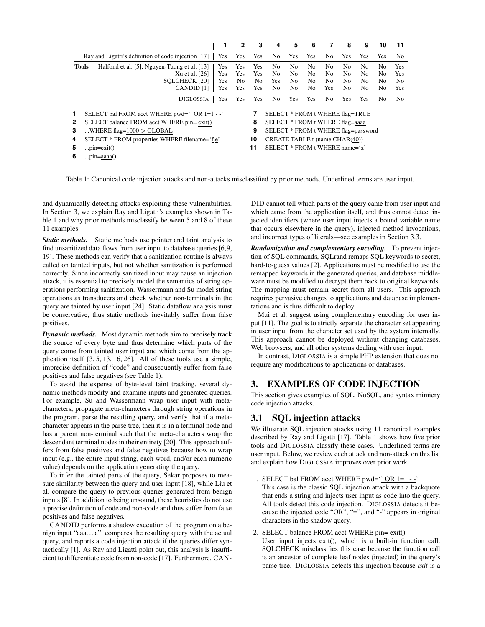|                                                                                                                                                                                                                                                                                                                                                                                                                                                                                                                                             | 1 | 2   | 3                                            | 4                                                         | 5                    | 6                     |                                                                      | 8                                   | 9   | 10  | 11  |
|---------------------------------------------------------------------------------------------------------------------------------------------------------------------------------------------------------------------------------------------------------------------------------------------------------------------------------------------------------------------------------------------------------------------------------------------------------------------------------------------------------------------------------------------|---|-----|----------------------------------------------|-----------------------------------------------------------|----------------------|-----------------------|----------------------------------------------------------------------|-------------------------------------|-----|-----|-----|
| Yes<br>Ray and Ligatti's definition of code injection [17]                                                                                                                                                                                                                                                                                                                                                                                                                                                                                  |   | Yes | Yes                                          | No                                                        | Yes                  | Yes                   | No.                                                                  | Yes                                 | Yes | Yes | No. |
| Yes<br><b>Tools</b><br>Yes<br>Yes<br>No<br>N <sub>0</sub><br>Halfond et al. [5], Nguyen-Tuong et al. [13]<br>Yes<br>Yes<br>Xu et al. [26]<br>Yes<br>N <sub>0</sub><br>N <sub>0</sub><br><b>SOLCHECK</b> [20]<br>Yes<br>N <sub>0</sub><br>No<br>Yes<br>N <sub>0</sub><br>CANDID <sup>[1]</sup><br>Yes<br>N <sub>0</sub><br>Yes<br>Yes<br>No                                                                                                                                                                                                  |   |     | No<br>N <sub>0</sub><br>N <sub>0</sub><br>No | N <sub>0</sub><br>N <sub>0</sub><br>N <sub>0</sub><br>Yes | No<br>No<br>No<br>No | No<br>No<br>No.<br>No | N <sub>0</sub><br>N <sub>0</sub><br>N <sub>0</sub><br>N <sub>0</sub> | Yes<br>Yes<br>N <sub>0</sub><br>Yes |     |     |     |
| Yes<br>Yes<br>Yes<br>Yes<br>Yes<br><b>DIGLOSSIA</b><br>No<br>No.<br>Yes<br>SELECT * FROM t WHERE flag=TRUE<br>1<br>SELECT bal FROM acct WHERE pwd=" OR 1=1 - -"<br>2<br>8<br>SELECT * FROM t WHERE flag=aaaa<br>SELECT balance FROM acct WHERE pin= exit()<br>3<br>9<br>WHERE flag= $1000 >$ GLOBAL<br>SELECT * FROM t WHERE flag=password<br>SELECT * FROM properties WHERE filename='f.e'<br>10<br>CREATE TABLE t (name CHAR(40))<br>4<br>5<br>11<br>SELECT * FROM t WHERE name='x'<br>$\ldots$ pin= $\mathrm{exit}()$<br>6<br>pin=aaaa() |   |     |                                              |                                                           |                      | Yes                   | N <sub>0</sub>                                                       | No.                                 |     |     |     |

Table 1: Canonical code injection attacks and non-attacks misclassified by prior methods. Underlined terms are user input.

and dynamically detecting attacks exploiting these vulnerabilities. In Section 3, we explain Ray and Ligatti's examples shown in Table 1 and why prior methods misclassify between 5 and 8 of these 11 examples.

*Static methods.* Static methods use pointer and taint analysis to find unsanitized data flows from user input to database queries [6,9, 19]. These methods can verify that a sanitization routine is always called on tainted inputs, but not whether sanitization is performed correctly. Since incorrectly sanitized input may cause an injection attack, it is essential to precisely model the semantics of string operations performing sanitization. Wassermann and Su model string operations as transducers and check whether non-terminals in the query are tainted by user input [24]. Static dataflow analysis must be conservative, thus static methods inevitably suffer from false positives.

*Dynamic methods.* Most dynamic methods aim to precisely track the source of every byte and thus determine which parts of the query come from tainted user input and which come from the application itself [3, 5, 13, 16, 26]. All of these tools use a simple, imprecise definition of "code" and consequently suffer from false positives and false negatives (see Table 1).

To avoid the expense of byte-level taint tracking, several dynamic methods modify and examine inputs and generated queries. For example, Su and Wassermann wrap user input with metacharacters, propagate meta-characters through string operations in the program, parse the resulting query, and verify that if a metacharacter appears in the parse tree, then it is in a terminal node and has a parent non-terminal such that the meta-characters wrap the descendant terminal nodes in their entirety [20]. This approach suffers from false positives and false negatives because how to wrap input (e.g., the entire input string, each word, and/or each numeric value) depends on the application generating the query.

To infer the tainted parts of the query, Sekar proposes to measure similarity between the query and user input [18], while Liu et al. compare the query to previous queries generated from benign inputs [8]. In addition to being unsound, these heuristics do not use a precise definition of code and non-code and thus suffer from false positives and false negatives.

CANDID performs a shadow execution of the program on a benign input "aaa. . . a", compares the resulting query with the actual query, and reports a code injection attack if the queries differ syntactically [1]. As Ray and Ligatti point out, this analysis is insufficient to differentiate code from non-code [17]. Furthermore, CAN-

DID cannot tell which parts of the query came from user input and which came from the application itself, and thus cannot detect injected identifiers (where user input injects a bound variable name that occurs elsewhere in the query), injected method invocations, and incorrect types of literals—see examples in Section 3.3.

*Randomization and complementary encoding.* To prevent injection of SQL commands, SQLrand remaps SQL keywords to secret, hard-to-guess values [2]. Applications must be modified to use the remapped keywords in the generated queries, and database middleware must be modified to decrypt them back to original keywords. The mapping must remain secret from all users. This approach requires pervasive changes to applications and database implementations and is thus difficult to deploy.

Mui et al. suggest using complementary encoding for user input [11]. The goal is to strictly separate the character set appearing in user input from the character set used by the system internally. This approach cannot be deployed without changing databases, Web browsers, and all other systems dealing with user input.

In contrast, DIGLOSSIA is a simple PHP extension that does not require any modifications to applications or databases.

# 3. EXAMPLES OF CODE INJECTION

This section gives examples of SQL, NoSQL, and syntax mimicry code injection attacks.

# 3.1 SQL injection attacks

We illustrate SQL injection attacks using 11 canonical examples described by Ray and Ligatti [17]. Table 1 shows how five prior tools and DIGLOSSIA classify these cases. Underlined terms are user input. Below, we review each attack and non-attack on this list and explain how DIGLOSSIA improves over prior work.

- 1. SELECT bal FROM acct WHERE pwd="OR 1=1 --' This case is the classic SQL injection attack with a backquote that ends a string and injects user input as code into the query. All tools detect this code injection. DIGLOSSIA detects it because the injected code "OR", "=", and "-" appears in original characters in the shadow query.
- 2. SELECT balance FROM acct WHERE pin= exit() User input injects exit(), which is a built-in function call. SQLCHECK misclassifies this case because the function call is an ancestor of complete leaf nodes (injected) in the query's parse tree. DIGLOSSIA detects this injection because *exit* is a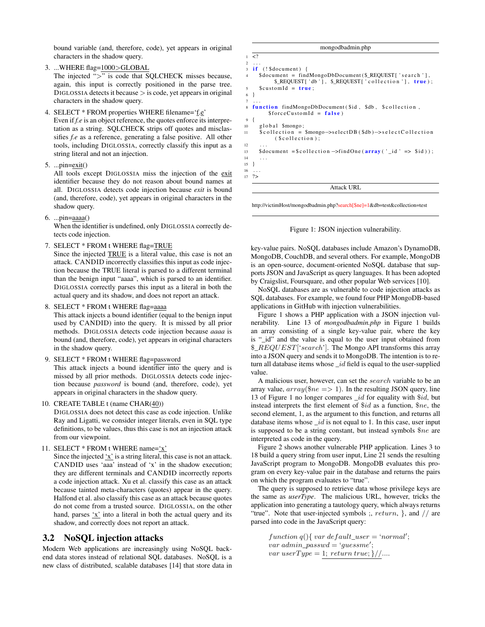bound variable (and, therefore, code), yet appears in original characters in the shadow query.

3. ...WHERE flag=1000>GLOBAL

The injected ">" is code that SQLCHECK misses because, again, this input is correctly positioned in the parse tree. DIGLOSSIA detects it because > is code, yet appears in original characters in the shadow query.

4. SELECT \* FROM properties WHERE filename='f.e'

Even if *f.e* is an object reference, the quotes enforce its interpretation as a string. SQLCHECK strips off quotes and misclassifies *f.e* as a reference, generating a false positive. All other tools, including DIGLOSSIA, correctly classify this input as a string literal and not an injection.

5. ...pin=exit()

All tools except DIGLOSSIA miss the injection of the exit identifier because they do not reason about bound names at all. DIGLOSSIA detects code injection because *exit* is bound (and, therefore, code), yet appears in original characters in the shadow query.

6. ...pin=aaaa()

When the identifier is undefined, only DIGLOSSIA correctly detects code injection.

7. SELECT \* FROM t WHERE flag=TRUE

Since the injected TRUE is a literal value, this case is not an attack. CANDID incorrectly classifies this input as code injection because the TRUE literal is parsed to a different terminal than the benign input "aaaa", which is parsed to an identifier. DIGLOSSIA correctly parses this input as a literal in both the actual query and its shadow, and does not report an attack.

8. SELECT \* FROM t WHERE flag=aaaa

This attack injects a bound identifier (equal to the benign input used by CANDID) into the query. It is missed by all prior methods. DIGLOSSIA detects code injection because *aaaa* is bound (and, therefore, code), yet appears in original characters in the shadow query.

9. SELECT \* FROM t WHERE flag=password

This attack injects a bound identifier into the query and is missed by all prior methods. DIGLOSSIA detects code injection because *password* is bound (and, therefore, code), yet appears in original characters in the shadow query.

10. CREATE TABLE t (name CHAR(40))

DIGLOSSIA does not detect this case as code injection. Unlike Ray and Ligatti, we consider integer literals, even in SQL type definitions, to be values, thus this case is not an injection attack from our viewpoint.

11. SELECT  $*$  FROM t WHERE name= $\frac{x}{x}$ 

Since the injected  $x'$  is a string literal, this case is not an attack. CANDID uses 'aaa' instead of 'x' in the shadow execution; they are different terminals and CANDID incorrectly reports a code injection attack. Xu et al. classify this case as an attack because tainted meta-characters (quotes) appear in the query. Halfond et al. also classify this case as an attack because quotes do not come from a trusted source. DIGLOSSIA, on the other hand, parses 'x' into a literal in both the actual query and its shadow, and correctly does not report an attack.

# 3.2 NoSQL injection attacks

Modern Web applications are increasingly using NoSQL backend data stores instead of relational SQL databases. NoSQL is a new class of distributed, scalable databases [14] that store data in

| mongouoaumm.pnp                                                                                                                                                    |
|--------------------------------------------------------------------------------------------------------------------------------------------------------------------|
| $1 \leq ?$                                                                                                                                                         |
| $\cdots$                                                                                                                                                           |
| $\frac{1}{3}$ if (! \$document) {                                                                                                                                  |
| $\texttt{Sdocument} = \texttt{findMongoDbDocument}(\texttt{S REOUEST} \mid \texttt{search} \mid \texttt{S})$<br>\$ REQUEST['db'], \$ REQUEST['collection'], true); |
| $$customId = true$ ;                                                                                                                                               |
| ł                                                                                                                                                                  |
| $\cdots$                                                                                                                                                           |
| function findMongoDbDocument (\$id, \$db, \$collection,<br>$$forceCustomId = false)$                                                                               |
|                                                                                                                                                                    |
| global \$mongo;                                                                                                                                                    |
| $\text{\$collection} = \text{\$mongo}\rightarrow \text{selectDB}(\text{\$db}) \rightarrow \text{selectCollection}$<br>$(scollection)$ ;                            |
| $\cdots$                                                                                                                                                           |
| \$document =\$collection $\rightarrow$ findOne( $\arctan$ ) ('_id' => \$id));                                                                                      |
| $\cdots$                                                                                                                                                           |
|                                                                                                                                                                    |
| .                                                                                                                                                                  |
| ?>                                                                                                                                                                 |
| Attack URL                                                                                                                                                         |
|                                                                                                                                                                    |

http://victimHost/mongodbadmin.php?search[\$ne]=1&db=test&collection=test

#### Figure 1: JSON injection vulnerability.

key-value pairs. NoSQL databases include Amazon's DynamoDB, MongoDB, CouchDB, and several others. For example, MongoDB is an open-source, document-oriented NoSQL database that supports JSON and JavaScript as query languages. It has been adopted by Craigslist, Foursquare, and other popular Web services [10].

NoSQL databases are as vulnerable to code injection attacks as SQL databases. For example, we found four PHP MongoDB-based applications in GitHub with injection vulnerabilities.

Figure 1 shows a PHP application with a JSON injection vulnerability. Line 13 of *mongodbadmin.php* in Figure 1 builds an array consisting of a single key-value pair, where the key is "\_id" and the value is equal to the user input obtained from \$\_REQUEST['search']. The Mongo API transforms this array into a JSON query and sends it to MongoDB. The intention is to return all database items whose  $id$  field is equal to the user-supplied value.

A malicious user, however, can set the search variable to be an array value,  $array(\$ne \gt 1)$ . In the resulting JSON query, line 13 of Figure 1 no longer compares  $_id$  for equality with  $\$id$ , but instead interprets the first element of  $\ddot{\text{ }sid}$  as a function,  $\mathcal{S}ne$ , the second element, 1, as the argument to this function, and returns all database items whose  $_id$  is not equal to 1. In this case, user input is supposed to be a string constant, but instead symbols \$ne are interpreted as code in the query.

Figure 2 shows another vulnerable PHP application. Lines 3 to 18 build a query string from user input, Line 21 sends the resulting JavaScript program to MongoDB. MongoDB evaluates this program on every key-value pair in the database and returns the pairs on which the program evaluates to "true".

The query is supposed to retrieve data whose privilege keys are the same as *userType*. The malicious URL, however, tricks the application into generating a tautology query, which always returns "true". Note that user-injected symbols ;,  $return, \}$ , and  $//$  are parsed into code in the JavaScript query:

 $function q() \{ \text{var default\_user} = 'normal';$  $var\ admin\_passwd = 'guessme';$ var userType = 1; return true;  $\}/$ ....

#### mongodbadmin.php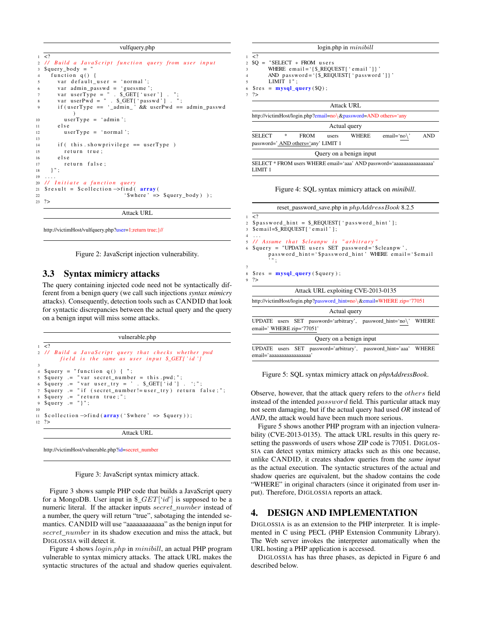```
vulfquery.php
```

```
\frac{1}{2} \frac{1}{2}2 // Build a JavaScript function query from user input
3 $ query_body =
      function q() \{var de fault_user = 'normal';
         var admin_passwd = 'guessme';
 7 v a r u s e rT y p e = " . $_GET [ ' u s e r ' ] . " ;
8 v a r use rPwd = " . $_GET [ ' passwd ' ] . " ;
9 i f ( u s e rT y p e == ' _admin_ ' && use rPwd == admin_passwd
)<br>
10 	 userType = 'admin';
11 e l s e
12 userType = 'normal';
13
14 if ( this show privilege == userType)
15 return true;
16 else
17 return false:
18  \} "
19<sup>.</sup>
20 / / I n i t i a t e a f u n c t i o n q u e r y
21 \text{S} result = \text{S}collection \rightarrow find (array (
22 'Swhere' \Rightarrow Squery_body ) ;
23 ?>
                                   Attack URL
```
http://victimHost/vulfquery.php?user=1;return true;}//

Figure 2: JavaScript injection vulnerability.

#### 3.3 Syntax mimicry attacks

The query containing injected code need not be syntactically different from a benign query (we call such injections *syntax mimicry* attacks). Consequently, detection tools such as CANDID that look for syntactic discrepancies between the actual query and the query on a benign input will miss some attacks.

|               | vulnerable.php                                                                                             |
|---------------|------------------------------------------------------------------------------------------------------------|
|               | 1 < ?                                                                                                      |
|               | 2 // Build a JavaScript query that checks whether pwd<br>field is the same as user input \$_GET['id']      |
| $\mathcal{L}$ |                                                                                                            |
|               | 4 Squery = "function $q() \{$ ";                                                                           |
|               | 5 Squery $=$ "var secret number = this pwd;";                                                              |
|               | 6 \$query $:=$ "var user try = $'$ . \$ GET ['id'] . ';";                                                  |
|               | 7 \$query .= "if (secret number!=user try) return false;";                                                 |
|               | $\text{square}$ : "squery .= "return true :"                                                               |
|               | 9 Squery $:=$ " $}'$ ;                                                                                     |
| 10            |                                                                                                            |
|               | 11 $\text{Scollection} \rightarrow \text{find} (\text{array}(' \text{where'} \Rightarrow \text{Squery}));$ |
|               | $12 \t?$                                                                                                   |
|               | Attack URL                                                                                                 |

http://victimHost/vulnerable.php?id=secret\_number

 $\overline{1}$ 

Figure 3: JavaScript syntax mimicry attack.

Figure 3 shows sample PHP code that builds a JavaScript query for a MongoDB. User input in  $\mathcal{L} GET['id']$  is supposed to be a numeric literal. If the attacker inputs secret\_number instead of a number, the query will return "true", sabotaging the intended semantics. CANDID will use "aaaaaaaaaaaa" as the benign input for secret\_number in its shadow execution and miss the attack, but DIGLOSSIA will detect it.

Figure 4 shows login.php in minibill, an actual PHP program vulnerable to syntax mimicry attacks. The attack URL makes the syntactic structures of the actual and shadow queries equivalent.

login.php in minibill

| 3<br>4<br>5 | $1 \leq ?$<br>$2$ \$O = "SELECT $*$ FROM users<br>WHERE $email = \{\$$ REQUEST $\{'$ email '] $\}'$<br>AND password='{\$_REQUEST['password']}'<br>$LIMIT 1$ ":<br>6 $\text{Sres} = \text{mysgl\_query}(\text{SQ})$ ;<br>7 ?> |
|-------------|------------------------------------------------------------------------------------------------------------------------------------------------------------------------------------------------------------------------------|
|             |                                                                                                                                                                                                                              |
|             | Attack URL                                                                                                                                                                                                                   |
|             | http://victimHost/login.php?email=no\&password=AND others='any                                                                                                                                                               |
|             | Actual query                                                                                                                                                                                                                 |
|             | <b>SELECT</b><br><b>FROM</b><br><b>WHERE</b><br>email='no\'<br>*<br><b>AND</b><br>users<br>password=' AND others='any' LIMIT 1                                                                                               |
|             | Ouery on a benign input                                                                                                                                                                                                      |
|             | SELECT * FROM users WHERE email='aaa' AND password='aaaaaaaaaaaaaaaaa'<br>LIMIT <sub>1</sub>                                                                                                                                 |

Figure 4: SQL syntax mimicry attack on *minibill*.

| reset_password_save.php in <i>phpAddressBook</i> 8.2.5                                                                                                                 |  |  |  |  |  |
|------------------------------------------------------------------------------------------------------------------------------------------------------------------------|--|--|--|--|--|
| 1 < 2<br>$spassword\_hint = $_REQUEST['password\_hint']$ ;<br>$\overline{2}$<br>\$email=\$REQUEST['email'];<br>3                                                       |  |  |  |  |  |
| $4 \ldots$<br>5 // Assume that \$cleanpw is "arbitrary"<br>6 \$query = "UPDATE users SET password='\$cleanpw',<br>password_hint='\$password_hint' WHERE email='\$email |  |  |  |  |  |
| $\text{Sres} = \text{mysgl\_query}(\text{Squery});$<br>8<br>?                                                                                                          |  |  |  |  |  |
| Attack URL exploiting CVE-2013-0135                                                                                                                                    |  |  |  |  |  |
| http://victimHost/login.php?password_hint=no\&email=WHERE zip='77051                                                                                                   |  |  |  |  |  |
| Actual query                                                                                                                                                           |  |  |  |  |  |
| UPDATE users SET password='arbitrary', password_hint='no\'<br><b>WHERE</b><br>email=' WHERE zip='77051'                                                                |  |  |  |  |  |
| Query on a benign input                                                                                                                                                |  |  |  |  |  |
| UPDATE users SET password='arbitrary', password_hint='aaa' WHERE<br>email='aaaaaaaaaaaaaaaaaa'                                                                         |  |  |  |  |  |
|                                                                                                                                                                        |  |  |  |  |  |

Figure 5: SQL syntax mimicry attack on *phpAddressBook*.

Observe, however, that the attack query refers to the others field instead of the intended password field. This particular attack may not seem damaging, but if the actual query had used *OR* instead of *AND*, the attack would have been much more serious.

Figure 5 shows another PHP program with an injection vulnerability (CVE-2013-0135). The attack URL results in this query resetting the passwords of users whose ZIP code is 77051. DIGLOS-SIA can detect syntax mimicry attacks such as this one because, unlike CANDID, it creates shadow queries from the *same input* as the actual execution. The syntactic structures of the actual and shadow queries are equivalent, but the shadow contains the code "WHERE" in original characters (since it originated from user input). Therefore, DIGLOSSIA reports an attack.

### 4. DESIGN AND IMPLEMENTATION

DIGLOSSIA is as an extension to the PHP interpreter. It is implemented in C using PECL (PHP Extension Community Library). The Web server invokes the interpreter automatically when the URL hosting a PHP application is accessed.

DIGLOSSIA has has three phases, as depicted in Figure 6 and described below.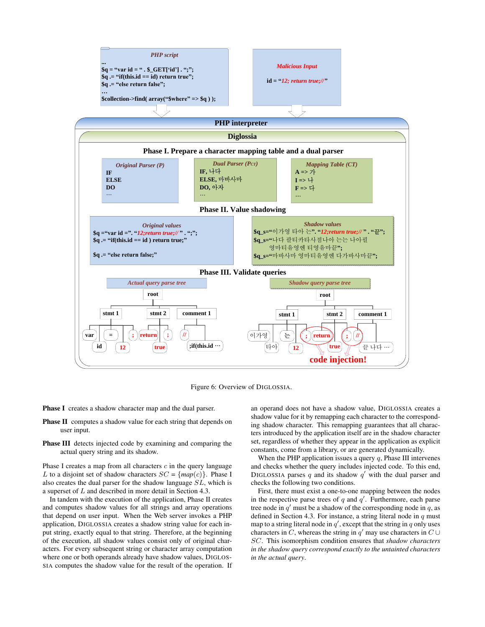

Figure 6: Overview of DIGLOSSIA.

Phase I creates a shadow character map and the dual parser.

- Phase II computes a shadow value for each string that depends on user input.
- Phase III detects injected code by examining and comparing the actual query string and its shadow.

Phase I creates a map from all characters  $c$  in the query language L to a disjoint set of shadow characters  $SC = \{map(c)\}\.$  Phase I also creates the dual parser for the shadow language SL, which is a superset of L and described in more detail in Section 4.3.

In tandem with the execution of the application, Phase II creates and computes shadow values for all strings and array operations that depend on user input. When the Web server invokes a PHP application, DIGLOSSIA creates a shadow string value for each input string, exactly equal to that string. Therefore, at the beginning of the execution, all shadow values consist only of original characters. For every subsequent string or character array computation where one or both operands already have shadow values, DIGLOS-SIA computes the shadow value for the result of the operation. If

an operand does not have a shadow value, DIGLOSSIA creates a shadow value for it by remapping each character to the corresponding shadow character. This remapping guarantees that all characters introduced by the application itself are in the shadow character set, regardless of whether they appear in the application as explicit constants, come from a library, or are generated dynamically.

When the PHP application issues a query  $q$ , Phase III intervenes and checks whether the query includes injected code. To this end, DIGLOSSIA parses q and its shadow  $q'$  with the dual parser and checks the following two conditions.

First, there must exist a one-to-one mapping between the nodes in the respective parse trees of  $q$  and  $q'$ . Furthermore, each parse tree node in  $q'$  must be a shadow of the corresponding node in  $q$ , as defined in Section 4.3. For instance, a string literal node in  $q$  must map to a string literal node in  $q'$ , except that the string in q only uses characters in C, whereas the string in  $q'$  may use characters in C ∪ SC. This isomorphism condition ensures that *shadow characters in the shadow query correspond exactly to the untainted characters in the actual query*.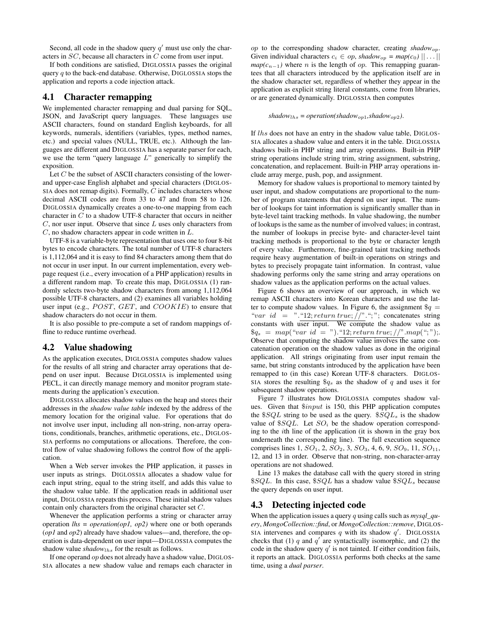Second, all code in the shadow query  $q'$  must use only the characters in SC, because all characters in C come from user input.

If both conditions are satisfied, DIGLOSSIA passes the original query  $q$  to the back-end database. Otherwise, DIGLOSSIA stops the application and reports a code injection attack.

#### 4.1 Character remapping

We implemented character remapping and dual parsing for SQL, JSON, and JavaScript query languages. These languages use ASCII characters, found on standard English keyboards, for all keywords, numerals, identifiers (variables, types, method names, etc.) and special values (NULL, TRUE, etc.). Although the languages are different and DIGLOSSIA has a separate parser for each, we use the term "query language  $L$ " generically to simplify the exposition.

Let  $C$  be the subset of ASCII characters consisting of the lowerand upper-case English alphabet and special characters (DIGLOS-SIA does not remap digits). Formally,  $\overline{C}$  includes characters whose decimal ASCII codes are from 33 to 47 and from 58 to 126. DIGLOSSIA dynamically creates a one-to-one mapping from each character in C to a shadow UTF-8 character that occurs in neither  $C$ , nor user input. Observe that since  $L$  uses only characters from  $C$ , no shadow characters appear in code written in  $L$ .

UTF-8 is a variable-byte representation that uses one to four 8-bit bytes to encode characters. The total number of UTF-8 characters is 1,112,064 and it is easy to find 84 characters among them that do not occur in user input. In our current implementation, every webpage request (i.e., every invocation of a PHP application) results in a different random map. To create this map, DIGLOSSIA (1) randomly selects two-byte shadow characters from among 1,112,064 possible UTF-8 characters, and (2) examines all variables holding user input (e.g.,  $POST$ ,  $GET$ , and  $COOKIE$ ) to ensure that shadow characters do not occur in them.

It is also possible to pre-compute a set of random mappings offline to reduce runtime overhead.

#### 4.2 Value shadowing

As the application executes, DIGLOSSIA computes shadow values for the results of all string and character array operations that depend on user input. Because DIGLOSSIA is implemented using PECL, it can directly manage memory and monitor program statements during the application's execution.

DIGLOSSIA allocates shadow values on the heap and stores their addresses in the *shadow value table* indexed by the address of the memory location for the original value. For operations that do not involve user input, including all non-string, non-array operations, conditionals, branches, arithmetic operations, etc., DIGLOS-SIA performs no computations or allocations. Therefore, the control flow of value shadowing follows the control flow of the application.

When a Web server invokes the PHP application, it passes in user inputs as strings. DIGLOSSIA allocates a shadow value for each input string, equal to the string itself, and adds this value to the shadow value table. If the application reads in additional user input, DIGLOSSIA repeats this process. These initial shadow values contain only characters from the original character set C.

Whenever the application performs a string or character array operation *lhs = operation(op1, op2)* where one or both operands (*op1* and *op2*) already have shadow values—and, therefore, the operation is data-dependent on user input—DIGLOSSIA computes the shadow value *shadow<sub>lhs</sub>* for the result as follows.

If one operand op does not already have a shadow value, DIGLOS-SIA allocates a new shadow value and remaps each character in

op to the corresponding shadow character, creating *shadow*op. Given individual characters  $c_i \in op$ ,  $shadow_{op} = map(c_0) || \dots ||$  $map(c_{n-1})$  where n is the length of op. This remapping guarantees that all characters introduced by the application itself are in the shadow character set, regardless of whether they appear in the application as explicit string literal constants, come from libraries, or are generated dynamically. DIGLOSSIA then computes

#### $shadow_{lhs} = operation(shadow_{op1}, shadow_{op2})$ .

If lhs does not have an entry in the shadow value table, DIGLOS-SIA allocates a shadow value and enters it in the table. DIGLOSSIA shadows built-in PHP string and array operations. Built-in PHP string operations include string trim, string assignment, substring, concatenation, and replacement. Built-in PHP array operations include array merge, push, pop, and assignment.

Memory for shadow values is proportional to memory tainted by user input, and shadow computations are proportional to the number of program statements that depend on user input. The number of lookups for taint information is significantly smaller than in byte-level taint tracking methods. In value shadowing, the number of lookups is the same as the number of involved values; in contrast, the number of lookups in precise byte- and character-level taint tracking methods is proportional to the byte or character length of every value. Furthermore, fine-grained taint tracking methods require heavy augmentation of built-in operations on strings and bytes to precisely propagate taint information. In contrast, value shadowing performs only the same string and array operations on shadow values as the application performs on the actual values.

Figure 6 shows an overview of our approach, in which we remap ASCII characters into Korean characters and use the latter to compute shadow values. In Figure 6, the assignment  $\sqrt[6]{q}$  = "var id = "."12; return true;  $//$ ".";"; concatenates string constants with user input. We compute the shadow value as  $\$\mathfrak{g}_s = \text{map}(\text{``var id} = \text{''}).\text{``}12;\text{return true}; // \text{''}.map(\text{``};\text{''});$ Observe that computing the shadow value involves the same concatenation operation on the shadow values as done in the original application. All strings originating from user input remain the same, but string constants introduced by the application have been remapped to (in this case) Korean UTF-8 characters. DIGLOS-SIA stores the resulting  $\mathcal{G}_q$  as the shadow of q and uses it for subsequent shadow operations.

Figure 7 illustrates how DIGLOSSIA computes shadow values. Given that \$input is 150, this PHP application computes the  $$SQL$  string to be used as the query.  $$SQL<sub>s</sub>$  is the shadow value of  $$SQL$ . Let  $SO<sub>i</sub>$  be the shadow operation corresponding to the ith line of the application (it is shown in the gray box underneath the corresponding line). The full execution sequence comprises lines 1,  $SO_1$ , 2,  $SO_2$ , 3,  $SO_3$ , 4, 6, 9,  $SO_9$ , 11,  $SO_{11}$ , 12, and 13 in order. Observe that non-string, non-character-array operations are not shadowed.

Line 13 makes the database call with the query stored in string  $$SQL$ . In this case,  $$SQL$  has a shadow value  $$SQL<sub>s</sub>$  because the query depends on user input.

#### 4.3 Detecting injected code

When the application issues a query q using calls such as *mysql\_query*, *MongoCollection::find*, or *MongoCollection::remove*, DIGLOS-SIA intervenes and compares q with its shadow  $q'$ . DIGLOSSIA checks that (1) q and  $q'$  are syntactically isomorphic, and (2) the code in the shadow query  $q'$  is not tainted. If either condition fails, it reports an attack. DIGLOSSIA performs both checks at the same time, using a *dual parser*.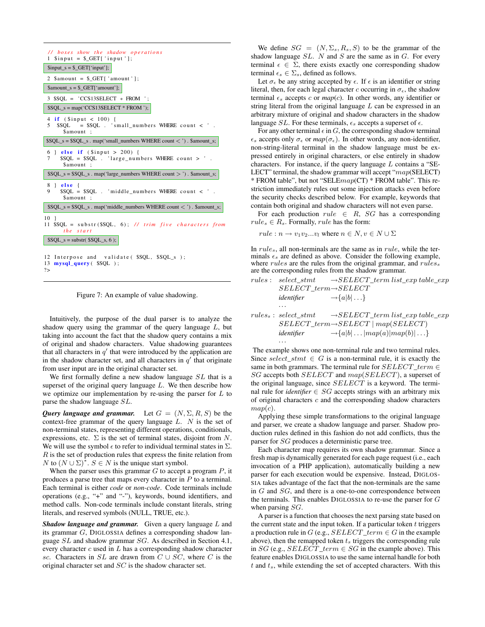| // boxes show the shadow operations<br>1 $\sinput = \S \cdot \text{GET}$ 'input'];                                         |
|----------------------------------------------------------------------------------------------------------------------------|
| $\text{Sinput } s = \$ \ GET['input']$ ;                                                                                   |
| 2 $\text{Samount} = \text{S GET}$ amount '];                                                                               |
| \$amount $s = $ GET['amount']$ ;                                                                                           |
| $3$ $$SOL = 'CCS13SELECT * FROM '$ ;                                                                                       |
| $SSOL$ s = map('CCS13SELECT * FROM');                                                                                      |
| 4 <b>if</b> (\$input < 100) {<br>$SSQL$ = $SSQL$ . 'small_numbers WHERE count < '.<br>5<br>\$amount :                      |
| $$SQL_s = $SQL_s$ . map('small_numbers WHERE count < '). \$amount_s;                                                       |
| 6 } else if $(\sin put > 200)$ {<br>$$SQL = $SQL$ . 'large_numbers WHERE count > '.<br>$\tau$<br>\$amount:                 |
| $$SQL_s = $SQL_s$ . map('large_numbers WHERE count > '). \$amount_s;                                                       |
| $8 \}$ else {<br>$$SQL = $SQL$ . 'middle_numbers WHERE count < '.<br>9<br>\$amount :                                       |
| $$SQL_s = $SQL_s$ . map('middle_numbers WHERE count < '). \$amount_s;                                                      |
| $10 \quad$<br>11 $SSQL = substr(SSQL, 6); // trim five characters from$<br>the start<br>$\$SQL_s =$ substr( $$SQL_s, 6$ ); |
| Interpose and validate (\$SQL, \$SQL_s);<br>12<br>13<br>$mysql_query($ \$SQL $);$<br>?>                                    |

Figure 7: An example of value shadowing.

Intuitively, the purpose of the dual parser is to analyze the shadow query using the grammar of the query language  $L$ , but taking into account the fact that the shadow query contains a mix of original and shadow characters. Value shadowing guarantees that all characters in  $q'$  that were introduced by the application are in the shadow character set, and all characters in  $q'$  that originate from user input are in the original character set.

We first formally define a new shadow language SL that is a superset of the original query language  $L$ . We then describe how we optimize our implementation by re-using the parser for  $L$  to parse the shadow language SL.

*Query language and grammar.* Let  $G = (N, \Sigma, R, S)$  be the context-free grammar of the query language  $L$ .  $N$  is the set of non-terminal states, representing different operations, conditionals, expressions, etc.  $\Sigma$  is the set of terminal states, disjoint from N. We will use the symbol  $\epsilon$  to refer to individual terminal states in  $\Sigma$ . R is the set of production rules that express the finite relation from N to  $(N \cup \Sigma)^*$ .  $S \in N$  is the unique start symbol.

When the parser uses this grammar  $G$  to accept a program  $P$ , it produces a parse tree that maps every character in P to a terminal. Each terminal is either *code* or *non-code*. Code terminals include operations (e.g., "+" and "-"), keywords, bound identifiers, and method calls. Non-code terminals include constant literals, string literals, and reserved symbols (NULL, TRUE, etc.).

*Shadow language and grammar.* Given a query language L and its grammar G, DIGLOSSIA defines a corresponding shadow language SL and shadow grammar SG. As described in Section 4.1, every character  $c$  used in  $L$  has a corresponding shadow character sc. Characters in SL are drawn from  $C \cup SC$ , where C is the original character set and SC is the shadow character set.

We define  $SG = (N, \Sigma_s, R_s, S)$  to be the grammar of the shadow language  $SL$ . N and S are the same as in G. For every terminal  $\epsilon \in \Sigma$ , there exists exactly one corresponding shadow terminal  $\epsilon_s \in \Sigma_s$ , defined as follows.

Let  $\sigma_{\epsilon}$  be any string accepted by  $\epsilon$ . If  $\epsilon$  is an identifier or string literal, then, for each legal character c occurring in  $\sigma_{\epsilon}$ , the shadow terminal  $\epsilon_s$  accepts c or  $map(c)$ . In other words, any identifier or string literal from the original language  $L$  can be expressed in an arbitrary mixture of original and shadow characters in the shadow language SL. For these terminals,  $\epsilon_s$  accepts a superset of  $\epsilon$ .

For any other terminal  $\epsilon$  in G, the corresponding shadow terminal  $\epsilon_s$  accepts only  $\sigma_{\epsilon}$  or  $map(\sigma_{\epsilon})$ . In other words, any non-identifier, non-string-literal terminal in the shadow language must be expressed entirely in original characters, or else entirely in shadow characters. For instance, if the query language  $L$  contains a "SE-LECT" terminal, the shadow grammar will accept "map(SELECT) \* FROM table", but not "SELEmap(CT) \* FROM table". This restriction immediately rules out some injection attacks even before the security checks described below. For example, keywords that contain both original and shadow characters will not even parse.

For each production  $rule \in R$ , SG has a corresponding  $rule_s \in R_s$ . Formally, *rule* has the form:

 $rule: n \rightarrow v_1v_2...v_l$  where  $n \in N, v \in N \cup \Sigma$ 

In  $rule_{s}$ , all non-terminals are the same as in  $rule_{t}$ , while the terminals  $\epsilon_s$  are defined as above. Consider the following example, where *rules* are the rules from the original grammar, and  $r u \overline{\textit{les}}_s$ are the corresponding rules from the shadow grammar.

|                                    | $rules: \ select\_stmt \longrightarrow SELECT\_term list\_exp table\_exp$ |
|------------------------------------|---------------------------------------------------------------------------|
| $SELECT \ term \rightarrow SELECT$ |                                                                           |
| identifier                         | $\rightarrow$ {a b }                                                      |
|                                    |                                                                           |
| $rules_s: select \; stmt$          | $\rightarrow$ SELECT_term list_exp table_exp                              |
|                                    | $SELECT\_term \rightarrow SELECT   map(SELECT)$                           |
| identifier                         | $\rightarrow$ {a b  map(a) map(b) }                                       |
|                                    |                                                                           |

The example shows one non-terminal rule and two terminal rules. Since select\_stmt  $\in G$  is a non-terminal rule, it is exactly the same in both grammars. The terminal rule for  $SELECT\_term \in$ SG accepts both SELECT and  $map(SELECT)$ , a superset of the original language, since SELECT is a keyword. The terminal rule for *identifier*  $\in$  *SG* accepts strings with an arbitrary mix of original characters  $c$  and the corresponding shadow characters  $map(c).$ 

Applying these simple transformations to the original language and parser, we create a shadow language and parser. Shadow production rules defined in this fashion do not add conflicts, thus the parser for SG produces a deterministic parse tree.

Each character map requires its own shadow grammar. Since a fresh map is dynamically generated for each page request (i.e., each invocation of a PHP application), automatically building a new parser for each execution would be expensive. Instead, DIGLOS-SIA takes advantage of the fact that the non-terminals are the same in G and SG, and there is a one-to-one correspondence between the terminals. This enables DIGLOSSIA to re-use the parser for G when parsing SG.

A parser is a function that chooses the next parsing state based on the current state and the input token. If a particular token  $t$  triggers a production rule in G (e.g.,  $SELECT\_term \in G$  in the example above), then the remapped token  $t_s$  triggers the corresponding rule in SG (e.g.,  $SELECT\_term \in SG$  in the example above). This feature enables DIGLOSSIA to use the same internal handle for both  $t$  and  $t_s$ , while extending the set of accepted characters. With this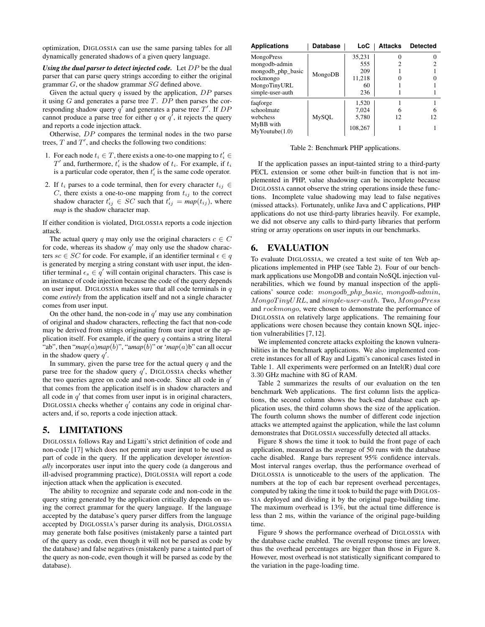optimization, DIGLOSSIA can use the same parsing tables for all dynamically generated shadows of a given query language.

*Using the dual parser to detect injected code.* Let DP be the dual parser that can parse query strings according to either the original grammar  $G$ , or the shadow grammar  $SG$  defined above.

Given the actual query  $q$  issued by the application,  $DP$  parses it using  $G$  and generates a parse tree  $T$ .  $DP$  then parses the corresponding shadow query  $q'$  and generates a parse tree  $T'$ . If  $DP$ cannot produce a parse tree for either q or  $q'$ , it rejects the query and reports a code injection attack.

Otherwise, DP compares the terminal nodes in the two parse trees,  $T$  and  $T'$ , and checks the following two conditions:

- 1. For each node  $t_i \in T$ , there exists a one-to-one mapping to  $t'_i \in$  $T'$  and, furthermore,  $t'_i$  is the shadow of  $t_i$ . For example, if  $t_i$ is a particular code operator, then  $t_i$  is the same code operator.
- 2. If  $t_i$  parses to a code terminal, then for every character  $t_{ij} \in$  $C$ , there exists a one-to-one mapping from  $t_{ij}$  to the correct shadow character  $t'_{ij} \in SC$  such that  $t'_{ij} = map(t_{ij})$ , where *map* is the shadow character map.

If either condition is violated, DIGLOSSIA reports a code injection attack.

The actual query q may only use the original characters  $c \in C$ for code, whereas its shadow  $q'$  may only use the shadow characters  $sc \in SC$  for code. For example, if an identifier terminal  $\epsilon \in q$ is generated by merging a string constant with user input, the identifier terminal  $\epsilon_s \in q'$  will contain original characters. This case is an instance of code injection because the code of the query depends on user input. DIGLOSSIA makes sure that all code terminals in  $q$ come *entirely* from the application itself and not a single character comes from user input.

On the other hand, the non-code in  $q'$  may use any combination of original and shadow characters, reflecting the fact that non-code may be derived from strings originating from user input or the application itself. For example, if the query  $q$  contains a string literal "ab", then " $map(a)map(b)$ ", " $amap(b)$ " or ' $map(a)b$ " can all occur in the shadow query  $q'$ .

In summary, given the parse tree for the actual query  $q$  and the parse tree for the shadow query  $q'$ , DIGLOSSIA checks whether the two queries agree on code and non-code. Since all code in  $q'$ that comes from the application itself is in shadow characters and all code in  $q'$  that comes from user input is in original characters, DIGLOSSIA checks whether  $q'$  contains any code in original characters and, if so, reports a code injection attack.

## 5. LIMITATIONS

DIGLOSSIA follows Ray and Ligatti's strict definition of code and non-code [17] which does not permit any user input to be used as part of code in the query. If the application developer *intentionally* incorporates user input into the query code (a dangerous and ill-advised programming practice), DIGLOSSIA will report a code injection attack when the application is executed.

The ability to recognize and separate code and non-code in the query string generated by the application critically depends on using the correct grammar for the query language. If the language accepted by the database's query parser differs from the language accepted by DIGLOSSIA's parser during its analysis, DIGLOSSIA may generate both false positives (mistakenly parse a tainted part of the query as code, even though it will not be parsed as code by the database) and false negatives (mistakenly parse a tainted part of the query as non-code, even though it will be parsed as code by the database).

| <b>Applications</b>                                                | <b>Database</b> | LoC                                | <b>Attacks</b> | <b>Detected</b> |
|--------------------------------------------------------------------|-----------------|------------------------------------|----------------|-----------------|
| MongoPress<br>mongodb-admin                                        |                 | 35,231<br>555                      |                |                 |
| mongodb_php_basic<br>rockmongo<br>MongoTinyURL<br>simple-user-auth | MongoDB         | 209<br>11,218<br>60<br>236         |                |                 |
| faqforge<br>schoolmate<br>webchess<br>MyBB with<br>MyYoutube(1.0)  | MySQL           | 1,520<br>7,024<br>5,780<br>108,267 | 12             | 12              |

Table 2: Benchmark PHP applications.

If the application passes an input-tainted string to a third-party PECL extension or some other built-in function that is not implemented in PHP, value shadowing can be incomplete because DIGLOSSIA cannot observe the string operations inside these functions. Incomplete value shadowing may lead to false negatives (missed attacks). Fortunately, unlike Java and C applications, PHP applications do not use third-party libraries heavily. For example, we did not observe any calls to third-party libraries that perform string or array operations on user inputs in our benchmarks.

## 6. EVALUATION

To evaluate DIGLOSSIA, we created a test suite of ten Web applications implemented in PHP (see Table 2). Four of our benchmark applications use MongoDB and contain NoSQL injection vulnerabilities, which we found by manual inspection of the applications' source code: mongodb\_php\_basic, mongodb-admin,  $MongoTiny URL$ , and  $simple-user-auth$ . Two,  $Mongo Press$ and rockmongo, were chosen to demonstrate the performance of DIGLOSSIA on relatively large applications. The remaining four applications were chosen because they contain known SQL injection vulnerabilities [7, 12].

We implemented concrete attacks exploiting the known vulnerabilities in the benchmark applications. We also implemented concrete instances for all of Ray and Ligatti's canonical cases listed in Table 1. All experiments were performed on an  $Intel(R)$  dual core 3.30 GHz machine with 8G of RAM.

Table 2 summarizes the results of our evaluation on the ten benchmark Web applications. The first column lists the applications, the second column shows the back-end database each application uses, the third column shows the size of the application. The fourth column shows the number of different code injection attacks we attempted against the application, while the last column demonstrates that DIGLOSSIA successfully detected all attacks.

Figure 8 shows the time it took to build the front page of each application, measured as the average of 50 runs with the database cache disabled. Range bars represent 95% confidence intervals. Most interval ranges overlap, thus the performance overhead of DIGLOSSIA is unnoticeable to the users of the application. The numbers at the top of each bar represent overhead percentages, computed by taking the time it took to build the page with DIGLOS-SIA deployed and dividing it by the original page-building time. The maximum overhead is 13%, but the actual time difference is less than 2 ms, within the variance of the original page-building time.

Figure 9 shows the performance overhead of DIGLOSSIA with the database cache enabled. The overall response times are lower, thus the overhead percentages are bigger than those in Figure 8. However, most overhead is not statistically significant compared to the variation in the page-loading time.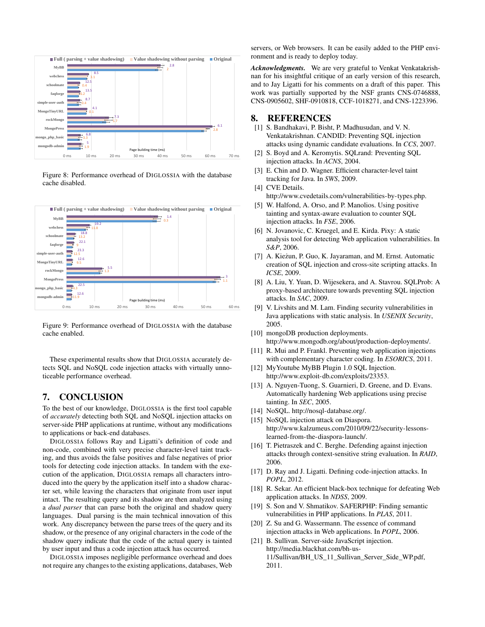

Figure 8: Performance overhead of DIGLOSSIA with the database cache disabled.



Figure 9: Performance overhead of DIGLOSSIA with the database cache enabled.

These experimental results show that DIGLOSSIA accurately detects SQL and NoSQL code injection attacks with virtually unnoticeable performance overhead.

## 7. CONCLUSION

To the best of our knowledge, DIGLOSSIA is the first tool capable of *accurately* detecting both SQL and NoSQL injection attacks on server-side PHP applications at runtime, without any modifications to applications or back-end databases.

DIGLOSSIA follows Ray and Ligatti's definition of code and non-code, combined with very precise character-level taint tracking, and thus avoids the false positives and false negatives of prior tools for detecting code injection attacks. In tandem with the execution of the application, DIGLOSSIA remaps all characters introduced into the query by the application itself into a shadow character set, while leaving the characters that originate from user input intact. The resulting query and its shadow are then analyzed using a *dual parser* that can parse both the original and shadow query languages. Dual parsing is the main technical innovation of this work. Any discrepancy between the parse trees of the query and its shadow, or the presence of any original characters in the code of the shadow query indicate that the code of the actual query is tainted by user input and thus a code injection attack has occurred.

DIGLOSSIA imposes negligible performance overhead and does not require any changes to the existing applications, databases, Web servers, or Web browsers. It can be easily added to the PHP environment and is ready to deploy today.

Acknowledgments. We are very grateful to Venkat Venkatakrishnan for his insightful critique of an early version of this research, and to Jay Ligatti for his comments on a draft of this paper. This work was partially supported by the NSF grants CNS-0746888, CNS-0905602, SHF-0910818, CCF-1018271, and CNS-1223396.

#### 8. REFERENCES

- [1] S. Bandhakavi, P. Bisht, P. Madhusudan, and V. N. Venkatakrishnan. CANDID: Preventing SQL injection attacks using dynamic candidate evaluations. In *CCS*, 2007.
- [2] S. Boyd and A. Keromytis. SQLrand: Preventing SQL injection attacks. In *ACNS*, 2004.
- [3] E. Chin and D. Wagner. Efficient character-level taint tracking for Java. In *SWS*, 2009.
- [4] CVE Details.
	- http://www.cvedetails.com/vulnerabilities-by-types.php.
- [5] W. Halfond, A. Orso, and P. Manolios. Using positive tainting and syntax-aware evaluation to counter SQL injection attacks. In *FSE*, 2006.
- [6] N. Jovanovic, C. Kruegel, and E. Kirda. Pixy: A static analysis tool for detecting Web application vulnerabilities. In *S&P*, 2006.
- [7] A. Kieżun, P. Guo, K. Jayaraman, and M. Ernst. Automatic creation of SQL injection and cross-site scripting attacks. In *ICSE*, 2009.
- [8] A. Liu, Y. Yuan, D. Wijesekera, and A. Stavrou. SQLProb: A proxy-based architecture towards preventing SQL injection attacks. In *SAC*, 2009.
- [9] V. Livshits and M. Lam. Finding security vulnerabilities in Java applications with static analysis. In *USENIX Security*, 2005.
- [10] mongoDB production deployments. http://www.mongodb.org/about/production-deployments/.
- [11] R. Mui and P. Frankl. Preventing web application injections with complementary character coding. In *ESORICS*, 2011.
- [12] MyYoutube MyBB Plugin 1.0 SOL Injection. http://www.exploit-db.com/exploits/23353.
- [13] A. Nguyen-Tuong, S. Guarnieri, D. Greene, and D. Evans. Automatically hardening Web applications using precise tainting. In *SEC*, 2005.
- [14] NoSQL. http://nosql-database.org/.
- [15] NoSQL injection attack on Diaspora. http://www.kalzumeus.com/2010/09/22/security-lessonslearned-from-the-diaspora-launch/.
- [16] T. Pietraszek and C. Berghe. Defending against injection attacks through context-sensitive string evaluation. In *RAID*, 2006.
- [17] D. Ray and J. Ligatti. Defining code-injection attacks. In *POPL*, 2012.
- [18] R. Sekar. An efficient black-box technique for defeating Web application attacks. In *NDSS*, 2009.
- [19] S. Son and V. Shmatikov. SAFERPHP: Finding semantic vulnerabilities in PHP applications. In *PLAS*, 2011.
- [20] Z. Su and G. Wassermann. The essence of command injection attacks in Web applications. In *POPL*, 2006.
- [21] B. Sullivan. Server-side JavaScript injection. http://media.blackhat.com/bh-us-11/Sullivan/BH\_US\_11\_Sullivan\_Server\_Side\_WP.pdf, 2011.